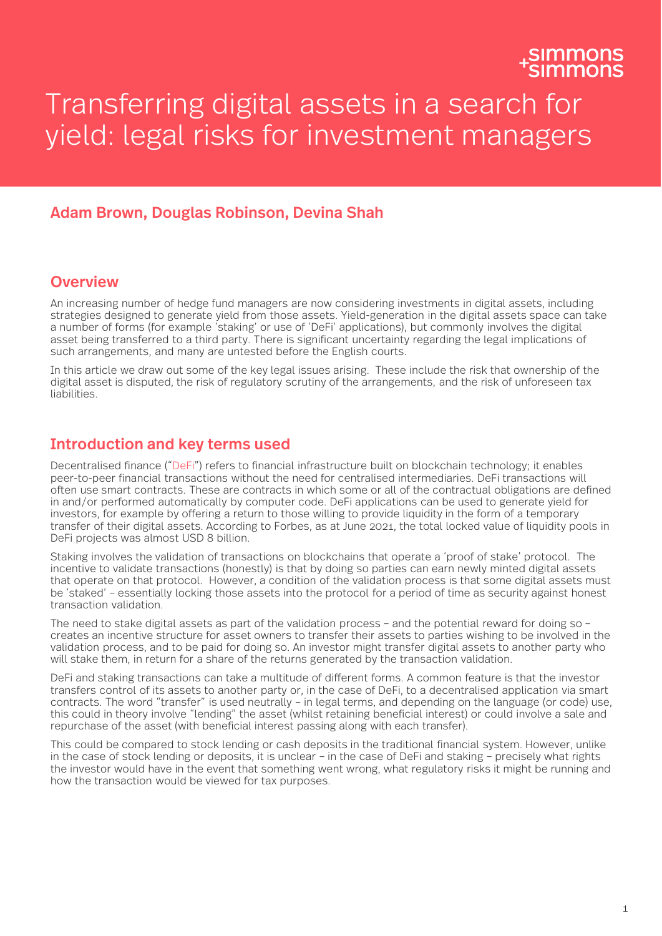# Transferring digital assets in a search for yield: legal risks for investment managers

# Adam Brown, Douglas Robinson, Devina Shah

## **Overview**

An increasing number of hedge fund managers are now considering investments in digital assets, including strategies designed to generate yield from those assets. Yield-generation in the digital assets space can take a number of forms (for example 'staking' or use of 'DeFi' applications), but commonly involves the digital asset being transferred to a third party. There is significant uncertainty regarding the legal implications of such arrangements, and many are untested before the English courts.

In this article we draw out some of the key legal issues arising. These include the risk that ownership of the digital asset is disputed, the risk of regulatory scrutiny of the arrangements, and the risk of unforeseen tax liabilities.

### Introduction and key terms used

Decentralised finance ("DeFi") refers to financial infrastructure built on blockchain technology; it enables peer-to-peer financial transactions without the need for centralised intermediaries. DeFi transactions will often use smart contracts. These are contracts in which some or all of the contractual obligations are defined in and/or performed automatically by computer code. DeFi applications can be used to generate yield for investors, for example by offering a return to those willing to provide liquidity in the form of a temporary transfer of their digital assets. According to Forbes, as at June 2021, the total locked value of liquidity pools in DeFi projects was almost USD 8 billion.

Staking involves the validation of transactions on blockchains that operate a 'proof of stake' protocol. The incentive to validate transactions (honestly) is that by doing so parties can earn newly minted digital assets that operate on that protocol. However, a condition of the validation process is that some digital assets must be 'staked' – essentially locking those assets into the protocol for a period of time as security against honest transaction validation.

The need to stake digital assets as part of the validation process – and the potential reward for doing so – creates an incentive structure for asset owners to transfer their assets to parties wishing to be involved in the validation process, and to be paid for doing so. An investor might transfer digital assets to another party who will stake them, in return for a share of the returns generated by the transaction validation.

DeFi and staking transactions can take a multitude of different forms. A common feature is that the investor transfers control of its assets to another party or, in the case of DeFi, to a decentralised application via smart contracts. The word "transfer" is used neutrally – in legal terms, and depending on the language (or code) use, this could in theory involve "lending" the asset (whilst retaining beneficial interest) or could involve a sale and repurchase of the asset (with beneficial interest passing along with each transfer).

This could be compared to stock lending or cash deposits in the traditional financial system. However, unlike in the case of stock lending or deposits, it is unclear – in the case of DeFi and staking – precisely what rights the investor would have in the event that something went wrong, what regulatory risks it might be running and how the transaction would be viewed for tax purposes.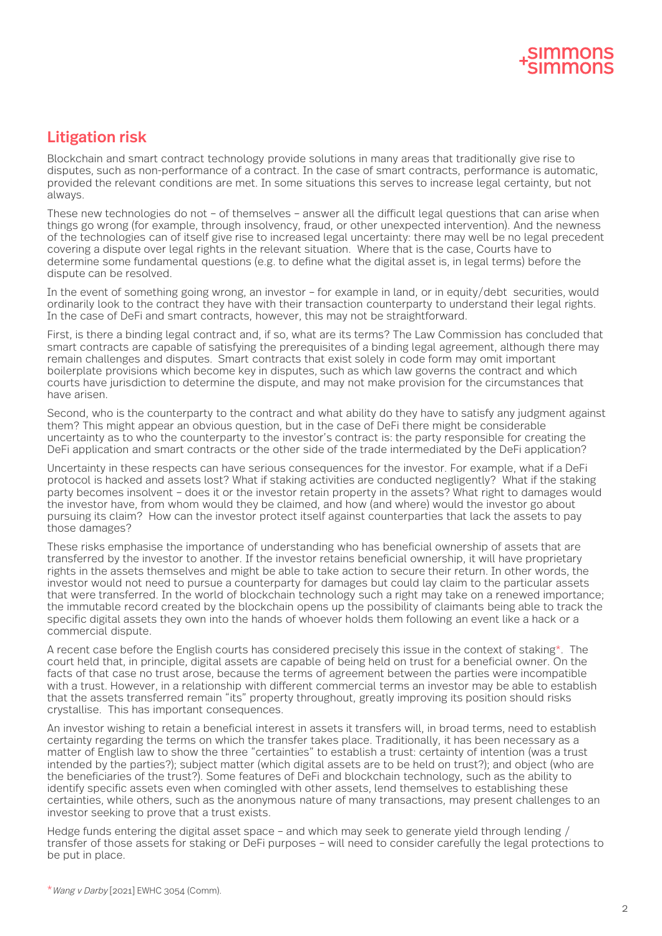# Litigation risk

Blockchain and smart contract technology provide solutions in many areas that traditionally give rise to disputes, such as non-performance of a contract. In the case of smart contracts, performance is automatic, provided the relevant conditions are met. In some situations this serves to increase legal certainty, but not always.

These new technologies do not – of themselves – answer all the difficult legal questions that can arise when things go wrong (for example, through insolvency, fraud, or other unexpected intervention). And the newness of the technologies can of itself give rise to increased legal uncertainty: there may well be no legal precedent covering a dispute over legal rights in the relevant situation. Where that is the case, Courts have to determine some fundamental questions (e.g. to define what the digital asset is, in legal terms) before the dispute can be resolved.

In the event of something going wrong, an investor – for example in land, or in equity/debt securities, would ordinarily look to the contract they have with their transaction counterparty to understand their legal rights. In the case of DeFi and smart contracts, however, this may not be straightforward.

First, is there a binding legal contract and, if so, what are its terms? The Law Commission has concluded that smart contracts are capable of satisfying the prerequisites of a binding legal agreement, although there may remain challenges and disputes. Smart contracts that exist solely in code form may omit important boilerplate provisions which become key in disputes, such as which law governs the contract and which courts have jurisdiction to determine the dispute, and may not make provision for the circumstances that have arisen.

Second, who is the counterparty to the contract and what ability do they have to satisfy any judgment against them? This might appear an obvious question, but in the case of DeFi there might be considerable uncertainty as to who the counterparty to the investor's contract is: the party responsible for creating the DeFi application and smart contracts or the other side of the trade intermediated by the DeFi application?

Uncertainty in these respects can have serious consequences for the investor. For example, what if a DeFi protocol is hacked and assets lost? What if staking activities are conducted negligently? What if the staking party becomes insolvent – does it or the investor retain property in the assets? What right to damages would the investor have, from whom would they be claimed, and how (and where) would the investor go about pursuing its claim? How can the investor protect itself against counterparties that lack the assets to pay those damages?

These risks emphasise the importance of understanding who has beneficial ownership of assets that are transferred by the investor to another. If the investor retains beneficial ownership, it will have proprietary rights in the assets themselves and might be able to take action to secure their return. In other words, the investor would not need to pursue a counterparty for damages but could lay claim to the particular assets that were transferred. In the world of blockchain technology such a right may take on a renewed importance; the immutable record created by the blockchain opens up the possibility of claimants being able to track the specific digital assets they own into the hands of whoever holds them following an event like a hack or a commercial dispute.

A recent case before the English courts has considered precisely this issue in the context of staking\*. The court held that, in principle, digital assets are capable of being held on trust for a beneficial owner. On the facts of that case no trust arose, because the terms of agreement between the parties were incompatible with a trust. However, in a relationship with different commercial terms an investor may be able to establish that the assets transferred remain "its" property throughout, greatly improving its position should risks crystallise. This has important consequences.

An investor wishing to retain a beneficial interest in assets it transfers will, in broad terms, need to establish certainty regarding the terms on which the transfer takes place. Traditionally, it has been necessary as a matter of English law to show the three "certainties" to establish a trust: certainty of intention (was a trust intended by the parties?); subject matter (which digital assets are to be held on trust?); and object (who are the beneficiaries of the trust?). Some features of DeFi and blockchain technology, such as the ability to identify specific assets even when comingled with other assets, lend themselves to establishing these certainties, while others, such as the anonymous nature of many transactions, may present challenges to an investor seeking to prove that a trust exists.

Hedge funds entering the digital asset space – and which may seek to generate yield through lending / transfer of those assets for staking or DeFi purposes – will need to consider carefully the legal protections to be put in place.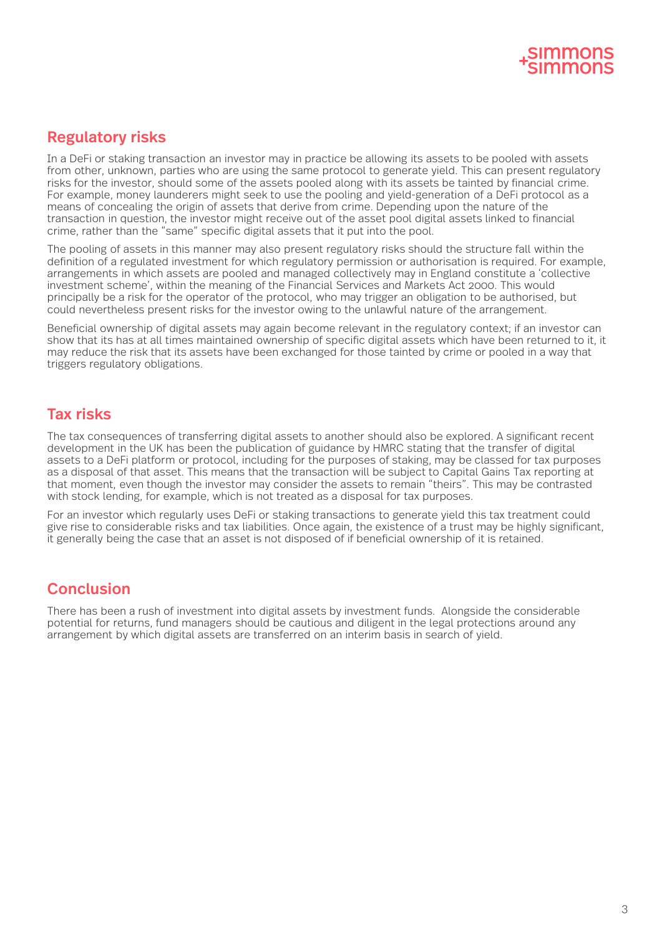

# Regulatory risks

In a DeFi or staking transaction an investor may in practice be allowing its assets to be pooled with assets from other, unknown, parties who are using the same protocol to generate yield. This can present regulatory risks for the investor, should some of the assets pooled along with its assets be tainted by financial crime. For example, money launderers might seek to use the pooling and yield-generation of a DeFi protocol as a means of concealing the origin of assets that derive from crime. Depending upon the nature of the transaction in question, the investor might receive out of the asset pool digital assets linked to financial crime, rather than the "same" specific digital assets that it put into the pool.

The pooling of assets in this manner may also present regulatory risks should the structure fall within the definition of a regulated investment for which regulatory permission or authorisation is required. For example, arrangements in which assets are pooled and managed collectively may in England constitute a 'collective investment scheme', within the meaning of the Financial Services and Markets Act 2000. This would principally be a risk for the operator of the protocol, who may trigger an obligation to be authorised, but could nevertheless present risks for the investor owing to the unlawful nature of the arrangement.

Beneficial ownership of digital assets may again become relevant in the regulatory context; if an investor can show that its has at all times maintained ownership of specific digital assets which have been returned to it, it may reduce the risk that its assets have been exchanged for those tainted by crime or pooled in a way that triggers regulatory obligations.

# Tax risks

The tax consequences of transferring digital assets to another should also be explored. A significant recent development in the UK has been the publication of guidance by HMRC stating that the transfer of digital assets to a DeFi platform or protocol, including for the purposes of staking, may be classed for tax purposes as a disposal of that asset. This means that the transaction will be subject to Capital Gains Tax reporting at that moment, even though the investor may consider the assets to remain "theirs". This may be contrasted with stock lending, for example, which is not treated as a disposal for tax purposes.

For an investor which regularly uses DeFi or staking transactions to generate yield this tax treatment could give rise to considerable risks and tax liabilities. Once again, the existence of a trust may be highly significant, it generally being the case that an asset is not disposed of if beneficial ownership of it is retained.

# Conclusion

There has been a rush of investment into digital assets by investment funds. Alongside the considerable potential for returns, fund managers should be cautious and diligent in the legal protections around any arrangement by which digital assets are transferred on an interim basis in search of yield.